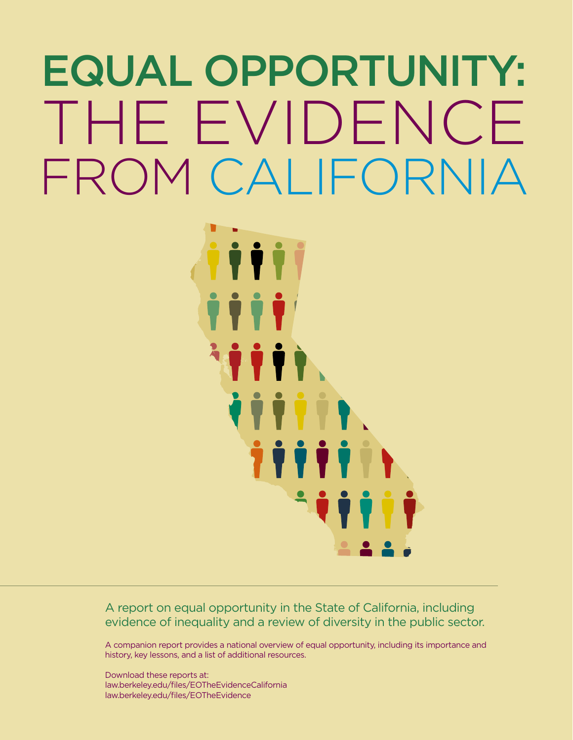# Equal Opportunity: THE EVIDENCE FROM CALIFORNIA



A report on equal opportunity in the State of California, including evidence of inequality and a review of diversity in the public sector.

A companion report provides a national overview of equal opportunity, including its importance and history, key lessons, and a list of additional resources.

Download these reports at: [law.berkeley.edu/files/EOTheEvidenceCalifornia](http://www.law.berkeley.edu/files/thcsj/EOTheEvidenceCalifornia.pdf) [law.berkeley.edu/files/EOTheEvidence](http://www.law.berkeley.edu/files/thcsj/EOTheEvidence.pdf)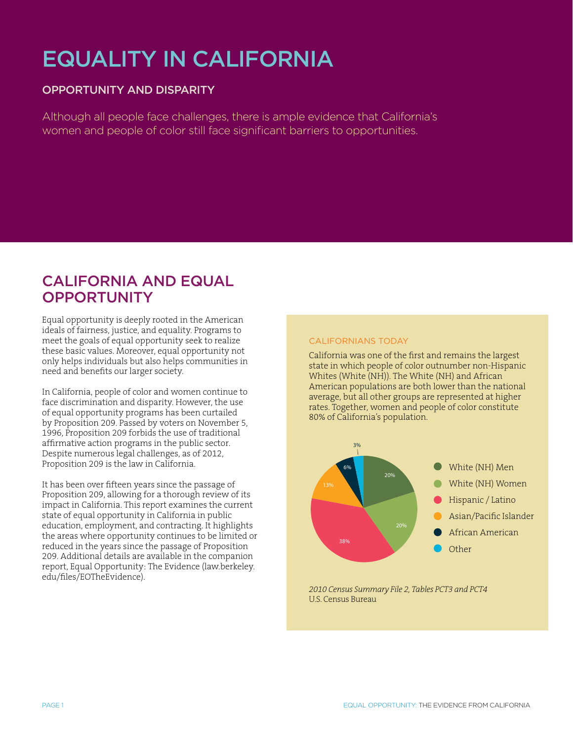# EQUALITY IN CALIFORNIA

# Opportunity and Disparity

Although all people face challenges, there is ample evidence that California's women and people of color still face significant barriers to opportunities.

# CALIFORNIA AND EQUAL **OPPORTUNITY**

Equal opportunity is deeply rooted in the American ideals of fairness, justice, and equality. Programs to meet the goals of equal opportunity seek to realize these basic values. Moreover, equal opportunity not only helps individuals but also helps communities in need and benefits our larger society.

In California, people of color and women continue to face discrimination and disparity. However, the use of equal opportunity programs has been curtailed by Proposition 209. Passed by voters on November 5, 1996, Proposition 209 forbids the use of traditional affirmative action programs in the public sector. Despite numerous legal challenges, as of 2012, Proposition 209 is the law in California.

It has been over fifteen years since the passage of Proposition 209, allowing for a thorough review of its impact in California. This report examines the current state of equal opportunity in California in public education, employment, and contracting. It highlights the areas where opportunity continues to be limited or reduced in the years since the passage of Proposition 209. Additional details are available in the companion report, Equal Opportunity: The Evidence (law.berkeley. edu/files/EOTheEvidence).

# Californians Today

California was one of the first and remains the largest state in which people of color outnumber non-Hispanic Whites (White (NH)). The White (NH) and African American populations are both lower than the national average, but all other groups are represented at higher rates. Together, women and people of color constitute 80% of California's population.



*2010 Census Summary File 2, Tables PCT3 and PCT4* U.S. Census Bureau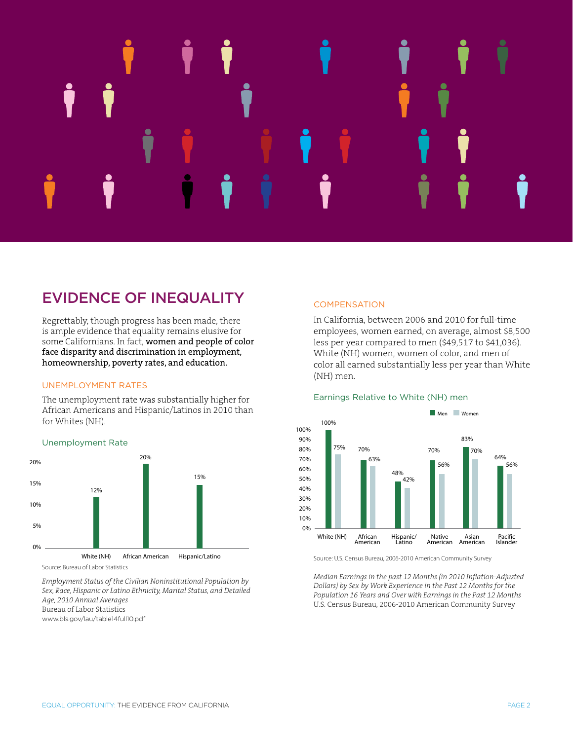# Unemployment Rate

# EVIDENCE OF INEQUALITY

Regrettably, though progress has been made, there is ample evidence that equality remains elusive for some Californians. In fact, women and people of color face disparity and discrimination in employment, homeownership, poverty rates, and education.

# Unemployment Rates

The unemployment rate was substantially higher for African Americans and Hispanic/Latinos in 2010 than for Whites (NH).



*Employment Status of the Civilian Noninstitutional Population by Sex, Race, Hispanic or Latino Ethnicity, Marital Status, and Detailed Age, 2010 Annual Averages* Bureau of Labor Statistics [www.bls.gov/lau/table14full10.pdf](http://www.bls.gov/lau/table14full10.pdf)

# **COMPENSATION**

In California, between 2006 and 2010 for full-time employees, women earned, on average, almost \$8,500 0% less per year compared to men (\$49,517 to \$41,036). White (NH) women, women of color, and men of color all earned substantially less per year than White (NH) men.

20%





Source: U.S. Census Bureau, 2006-2010 American Community Survey

.<br>Median Earnings in the past 12 Months (in 2010 Inflation-Adjusted *Dollars) by Sex by Work Experience in the Past 12 Months for the Population 16 Years and Over with Earnings in the Past 12 Months* U.S. Census Bureau, 2006-2010 American Community Survey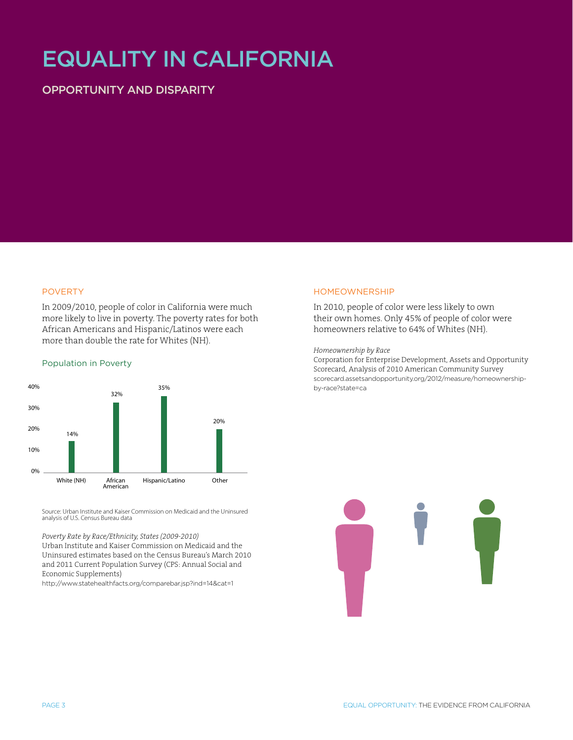# EQUALITY IN CALIFORNIA

# Opportunity and Disparity

### POVERTY

In 2009/2010, people of color in California were much more likely to live in poverty. The poverty rates for both African Americans and Hispanic/Latinos were each more than double the rate for Whites (NH).

56%

56%

### Population in Poverty



Source: Urban Institute and Kaiser Commission on Medicaid and the Uninsured analysis of U.S. Census Bureau data

### *Poverty Rate by Race/Ethnicity, States (2009-2010)*

Urban Institute and Kaiser Commission on Medicaid and the Uninsured estimates based on the Census Bureau's March 2010 and 2011 Current Population Survey (CPS: Annual Social and Economic Supplements)

http://www.statehealthfacts.org/comparebar.jsp?ind=14&cat=1

### HOMEOWNERSH

15%

In 2010, people of color were less likely to own their own homes. Only 45% of people of color were homeowners relative to 64% of Whites (NH).

### *Homeownership by Race*

Corporation for Enterprise Development, Assets and Opportunity Scorecard, Analysis of 2010 American Community Survey scorecard.assetsandopportunity.org/2012/measure/homeownershipby-race?state=ca

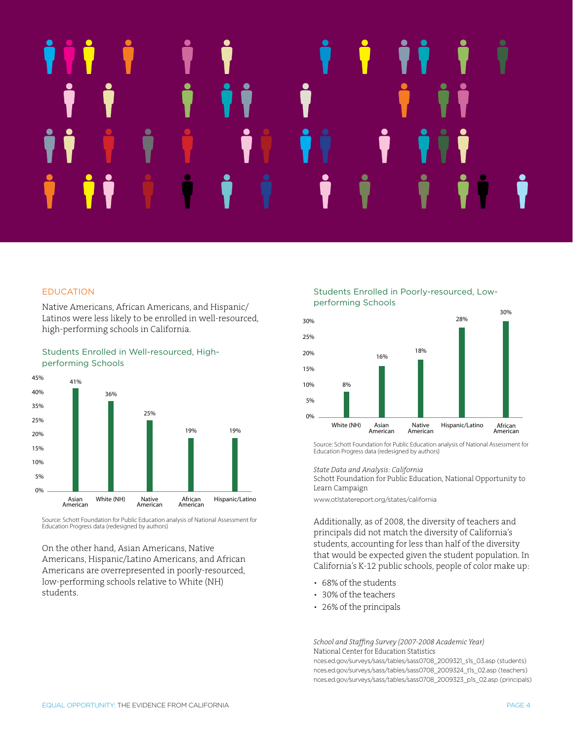# 12% Students Enrolled in Well-resourced, High-performing Schools 45% 40% 36% 19% 19%

### EDUCATION Earnings Relative to White (NH) men

Native Americans, African Americans, and Hispanic/ Latinos were less likely to be enrolled in well-resourced, high-performing schools in California.



# Students Enrolled in Well-resourced, High-Performing Schools

Source: Schott Foundation for Public Education analysis of National Assessment for Education Progress data (redesigned by authors) ichott Foundation for P

On the other hand, Asian Americans, Native on the other name, *Histari Intericans*, name Americans are overrepresented in poorly-resourced, low-performing schools relative to White (NH) students.

Students Enrolled in Poorly-resourced, Lowperforming Schools



Source: Schott Foundation for Public Education analysis of National Assessment for Education Progress data (redesigned by authors)

*State Data and Analysis: California*

Schott Foundation for Public Education, National Opportunity to Learn Campaign

[www.otlstatereport.org/states/california](http://www.otlstatereport.org/states/california)

Additionally, as of 2008, the diversity of teachers and principals did not match the diversity of California's students, accounting for less than half of the diversity that would be expected given the student population. In California's K-12 public schools, people of color make up:

- 68% of the students
- 30% of the teachers
- 26% of the principals

*School and Staffing Survey (2007-2008 Academic Year)* National Center for Education Statistics

[nces.ed.gov/surveys/sass/tables/sass0708\\_2009321\\_s1s\\_03.asp](http://nces.ed.gov/surveys/sass/tables/sass0708_2009321_s1s_03.asp) (students) [nces.ed.gov/surveys/sass/tables/sass0708\\_2009324\\_t1s\\_02.asp](http://nces.ed.gov/surveys/sass/tables/sass0708_2009324_t1s_02.asp) (teachers) [nces.ed.gov/surveys/sass/tables/sass0708\\_2009323\\_p1s\\_02.asp](http://nces.ed.gov/surveys/sass/tables/sass0708_2009323_p1s_02.asp) (principals)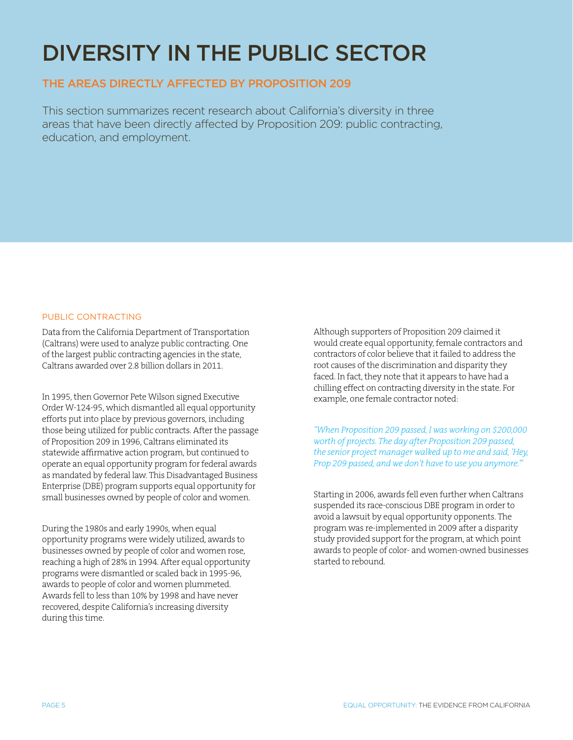# DIVERSITY IN THE PUBLIC SECTOR

# THE AREAS DIRECTLY AFFECTED BY PROPOSITION 209

This section summarizes recent research about California's diversity in three areas that have been directly affected by Proposition 209: public contracting, education, and employment.

# PUBLIC CONTRACTING

Data from the California Department of Transportation (Caltrans) were used to analyze public contracting. One of the largest public contracting agencies in the state, Caltrans awarded over 2.8 billion dollars in 2011.

In 1995, then Governor Pete Wilson signed Executive Order W-124-95, which dismantled all equal opportunity efforts put into place by previous governors, including those being utilized for public contracts. After the passage of Proposition 209 in 1996, Caltrans eliminated its statewide affirmative action program, but continued to operate an equal opportunity program for federal awards as mandated by federal law. This Disadvantaged Business Enterprise (DBE) program supports equal opportunity for small businesses owned by people of color and women.

During the 1980s and early 1990s, when equal opportunity programs were widely utilized, awards to businesses owned by people of color and women rose, reaching a high of 28% in 1994. After equal opportunity programs were dismantled or scaled back in 1995-96, awards to people of color and women plummeted. Awards fell to less than 10% by 1998 and have never recovered, despite California's increasing diversity during this time.

Although supporters of Proposition 209 claimed it would create equal opportunity, female contractors and contractors of color believe that it failed to address the root causes of the discrimination and disparity they faced. In fact, they note that it appears to have had a chilling effect on contracting diversity in the state. For example, one female contractor noted:

*"When Proposition 209 passed, I was working on \$200,000 worth of projects. The day after Proposition 209 passed, the senior project manager walked up to me and said, 'Hey, Prop 209 passed, and we don't have to use you anymore.'"*

Starting in 2006, awards fell even further when Caltrans suspended its race-conscious DBE program in order to avoid a lawsuit by equal opportunity opponents. The program was re-implemented in 2009 after a disparity study provided support for the program, at which point awards to people of color- and women-owned businesses started to rebound.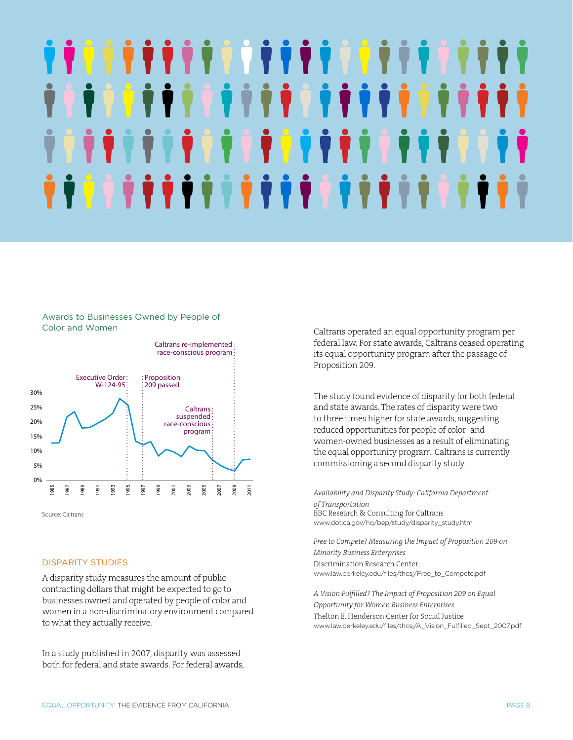# 1111111111 **HIPPE TIT** T T T T T T T T T T T T T <u>ŶŶŶŶŶŶŶŶŶŶŶŶŶŶŶŶŶŶŶŶŶŶŶŶ</u>

# Awards to Businesses Owned by People of Color and Women



Source: Caltrans

### DISPARITY STUDIES

A disparity study measures the amount of public contracting dollars that might be expected to go to businesses owned and operated by people of color and women in a non-discriminatory environment compared to what they actually receive.

In a study published in 2007, disparity was assessed both for federal and state awards. For federal awards, Caltrans operated an equal opportunity program per federal law. For state awards, Caltrans ceased operating its equal opportunity program after the passage of Proposition 209.

The study found evidence of disparity for both federal and state awards. The rates of disparity were two to three times higher for state awards, suggesting reduced opportunities for people of color- and women-owned businesses as a result of eliminating 10% the equal opportunity program. Caltrans is currently commissioning a second disparity study.

Availability and Disparity Study: California Department *of Transportation* BBC Research & Consulting for Caltrans [www.dot.ca.gov/hq/bep/study/disparity\\_study.htm](http://www.dot.ca.gov/hq/bep/study/disparity_study.htm)

*Free to Compete? Measuring the Impact of Proposition 209 on Minority Business Enterprises* Discrimination Research Center [www.law.berkeley.edu/files/thcsj/Free\\_to\\_Compete.pdf](http://www.law.berkeley.edu/files/thcsj/Free_to_Compete.pdf)

*A Vision Fulfilled? The Impact of Proposition 209 on Equal Opportunity for Women Business Enterprises* Thelton E. Henderson Center for Social Justice [www.law.berkeley.edu/files/thcsj/A\\_Vision\\_Fulfilled\\_Sept\\_2007.pdf](http://www.law.berkeley.edu/files/thcsj/A_Vision_Fulfilled_Sept_2007.pdf)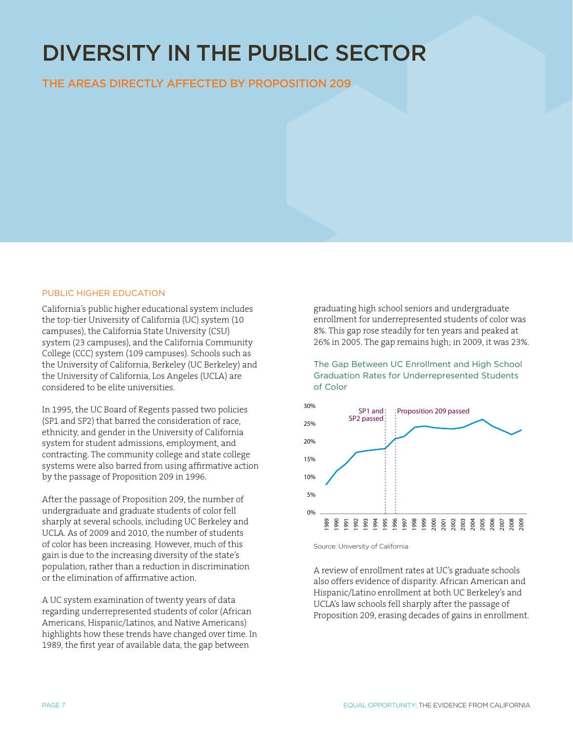# DIVERSITY IN THE PUBLIC SECTOR

THE AREAS DIRECTLY AFFECTED BY PROPOSITION 209

# PUBLIC HIGHER EDUCATION

California's public higher educational system includes the top-tier University of California (UC) system (10 campuses), the California State University (CSU) system (23 campuses), and the California Community College (CCC) system (109 campuses). Schools such as the University of California, Berkeley (UC Berkeley) and the University of California, Los Angeles (UCLA) are considered to be elite universities.

In 1995, the UC Board of Regents passed two policies (SP1 and SP2) that barred the consideration of race, ethnicity, and gender in the University of California system for student admissions, employment, and contracting. The community college and state college systems were also barred from using affirmative action by the passage of Proposition 209 in 1996.

After the passage of Proposition 209, the number of undergraduate and graduate students of color fell sharply at several schools, including UC Berkeley and UCLA. As of 2009 and 2010, the number of students of color has been increasing. However, much of this gain is due to the increasing diversity of the state's population, rather than a reduction in discrimination or the elimination of affirmative action.

A UC system examination of twenty years of data regarding underrepresented students of color (African Americans, Hispanic/Latinos, and Native Americans) highlights how these trends have changed over time. In 1989, the first year of available data, the gap between

graduating high school seniors and undergraduate enrollment for underrepresented students of color was 8%. This gap rose steadily for ten years and peaked at 26% in 2005. The gap remains high; in 2009, it was 23%.

The Gap Between UC Enrollment and High School Graduation Rates for Underrepresented Students of Color



Source: University of California

A review of enrollment rates at UC's graduate schools also offers evidence of disparity. African American and Hispanic/Latino enrollment at both UC Berkeley's and UCLA's law schools fell sharply after the passage of Proposition 209, erasing decades of gains in enrollment.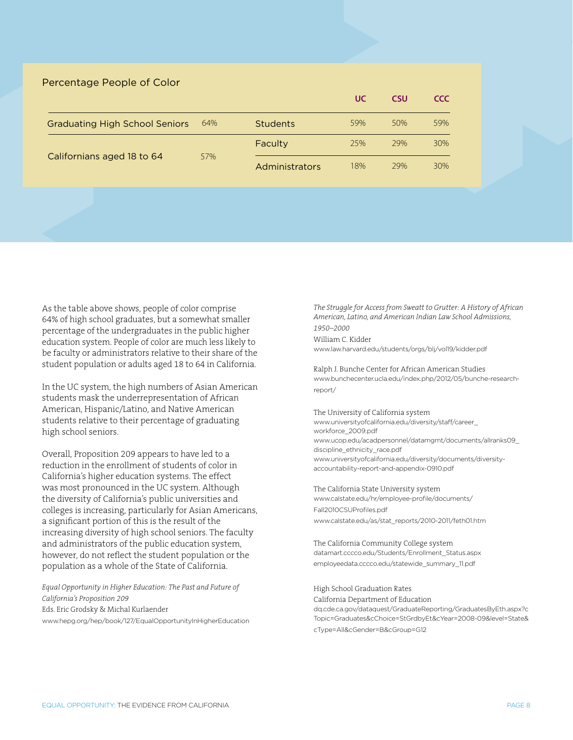| Percentage People of Color            |     |                 |           |            |            |
|---------------------------------------|-----|-----------------|-----------|------------|------------|
|                                       |     |                 | <b>UC</b> | <b>CSU</b> | <b>CCC</b> |
| <b>Graduating High School Seniors</b> | 64% | <b>Students</b> | 59%       | 50%        | 59%        |
| Californians aged 18 to 64            | 57% | Faculty         | 25%       | 29%        | 30%        |
|                                       |     | Administrators  | 18%       | 29%        | 30%        |

As the table above shows, people of color comprise 64% of high school graduates, but a somewhat smaller percentage of the undergraduates in the public higher education system. People of color are much less likely to be faculty or administrators relative to their share of the student population or adults aged 18 to 64 in California.

In the UC system, the high numbers of Asian American students mask the underrepresentation of African American, Hispanic/Latino, and Native American students relative to their percentage of graduating high school seniors.

Overall, Proposition 209 appears to have led to a reduction in the enrollment of students of color in California's higher education systems. The effect was most pronounced in the UC system. Although the diversity of California's public universities and colleges is increasing, particularly for Asian Americans, a significant portion of this is the result of the increasing diversity of high school seniors. The faculty and administrators of the public education system, however, do not reflect the student population or the population as a whole of the State of California.

*Equal Opportunity in Higher Education: The Past and Future of California's Proposition 209* Eds. Eric Grodsky & Michal Kurlaender

[www.hepg.org/hep/book/127/EqualOpportunityInHigherEducation](http://www.hepg.org/hep/book/127/EqualOpportunityInHigherEducation)

*The Struggle for Access from Sweatt to Grutter: A History of African American, Latino, and American Indian Law School Admissions, 1950–2000*

William C. Kidder [www.law.harvard.edu/students/orgs/blj/vol19/kidder.pdf](http://www.law.harvard.edu/students/orgs/blj/vol19/kidder.pdf)

Ralph J. Bunche Center for African American Studies [www.bunchecenter.ucla.edu/index.php/2012/05/bunche-research](http://www.bunchecenter.ucla.edu/index.php/2012/05/bunche-research-report/)[report/](http://www.bunchecenter.ucla.edu/index.php/2012/05/bunche-research-report/)

The University of California system [www.universityofcalifornia.edu/diversity/staff/career\\_](http://diversity.universityofcalifornia.edu/staff/career_workforce_2009.pdf) [workforce\\_2009.pdf](http://diversity.universityofcalifornia.edu/staff/career_workforce_2009.pdf) [www.ucop.edu/acadpersonnel/datamgmt/documents/allranks09\\_](http://www.ucop.edu/acadpersonnel/datamgmt/documents/allranks09_discipline_ethnicity_race.pdf) [discipline\\_ethnicity\\_race.pdf](http://www.ucop.edu/acadpersonnel/datamgmt/documents/allranks09_discipline_ethnicity_race.pdf) [www.universityofcalifornia.edu/diversity/documents/diversity](http://diversity.universityofcalifornia.edu/documents/diversity-accountability-report-and-appendix-0910.pdf)[accountability-report-and-appendix-0910.pdf](http://diversity.universityofcalifornia.edu/documents/diversity-accountability-report-and-appendix-0910.pdf)

The California State University system [www.calstate.edu/hr/employee-profile/documents/](http://www.calstate.edu/hr/employee-profile/documents/Fall2010CSUProfiles.pdf) [Fall2010CSUProfiles.pdf](http://www.calstate.edu/hr/employee-profile/documents/Fall2010CSUProfiles.pdf) [www.calstate.edu/as/stat\\_reports/2010-2011/feth01.htm](http://www.calstate.edu/as/stat_reports/2010-2011/feth01.htm)

The California Community College system [datamart.cccco.edu/Students/Enrollment\\_Status.aspx](http://datamart.cccco.edu/Students/Enrollment_Status.aspx) [employeedata.cccco.edu/statewide\\_summary\\_11.pdf](http://employeedata.cccco.edu/statewide_summary_11.pdf)

High School Graduation Rates

California Department of Education dq.cde.ca.gov/dataquest/GraduateReporting/GraduatesByEth.aspx?c Topic=Graduates&cChoice=StGrdbyEt&cYear=2008-09&level=State& cType=All&cGender=B&cGroup=G12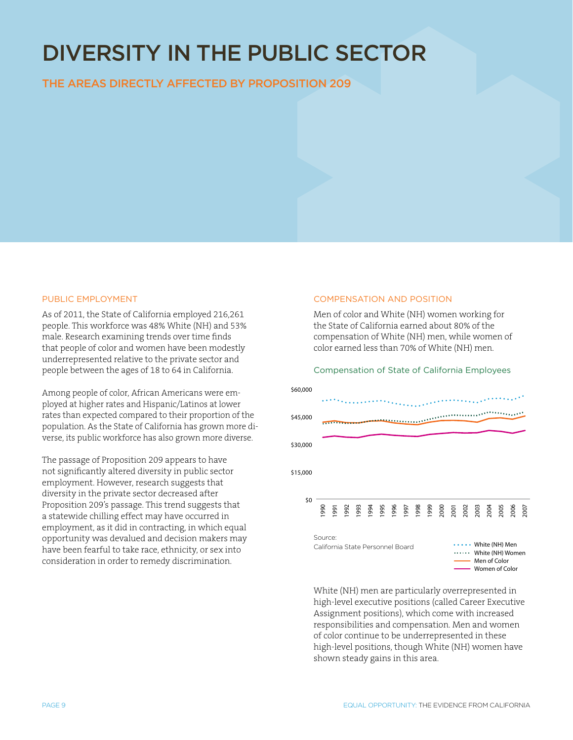# DIVERSITY IN THE PUBLIC SECTOR

# THE AREAS DIRECTLY AFFECTED BY PROPOSITION 209

### Public Employment

As of 2011, the State of California employed 216,261 people. This workforce was 48% White (NH) and 53% male. Research examining trends over time finds that people of color and women have been modestly underrepresented relative to the private sector and people between the ages of 18 to 64 in California.

Among people of color, African Americans were employed at higher rates and Hispanic/Latinos at lower rates than expected compared to their proportion of the population. As the State of California has grown more diverse, its public workforce has also grown more diverse.

The passage of Proposition 209 appears to have not significantly altered diversity in public sector employment. However, research suggests that diversity in the private sector decreased after Proposition 209's passage. This trend suggests that a statewide chilling effect may have occurred in employment, as it did in contracting, in which equal opportunity was devalued and decision makers may have been fearful to take race, ethnicity, or sex into consideration in order to remedy discrimination.

### COMPENSATION AND POSITION

Men of color and White (NH) women working for the State of California earned about 80% of the compensation of White (NH) men, while women of color earned less than 70% of White (NH) men.

# Compensation of State of California Employees



White (NH) men are particularly overrepresented in high-level executive positions (called Career Executive Assignment positions), which come with increased responsibilities and compensation. Men and women of color continue to be underrepresented in these high-level positions, though White (NH) women have shown steady gains in this area.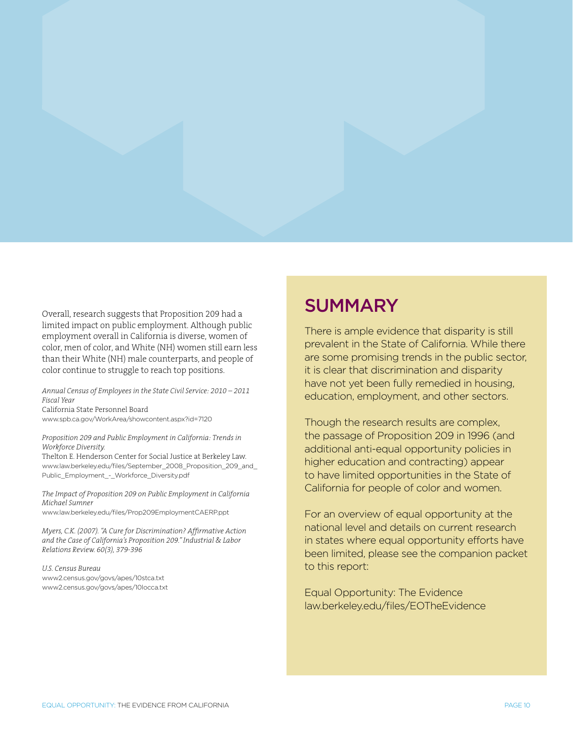Overall, research suggests that Proposition 209 had a limited impact on public employment. Although public employment overall in California is diverse, women of color, men of color, and White (NH) women still earn less than their White (NH) male counterparts, and people of color continue to struggle to reach top positions.

*Annual Census of Employees in the State Civil Service: 2010 – 2011 Fiscal Year* California State Personnel Board [www.spb.ca.gov/WorkArea/showcontent.aspx?id=7120](http://www.spb.ca.gov/WorkArea/showcontent.aspx%3Fid%3D7120)

*Proposition 209 and Public Employment in California: Trends in Workforce Diversity.* 

Thelton E. Henderson Center for Social Justice at Berkeley Law. [www.law.berkeley.edu/files/September\\_2008\\_Proposition\\_209\\_and\\_](http://www.law.berkeley.edu/files/September_2008_Proposition_209_and_Public_Employment_-_Workforce_Diversity.pdf) [Public\\_Employment\\_-\\_Workforce\\_Diversity.pdf](http://www.law.berkeley.edu/files/September_2008_Proposition_209_and_Public_Employment_-_Workforce_Diversity.pdf)

*The Impact of Proposition 209 on Public Employment in California Michael Sumner*

www.law.berkeley.edu/files/Prop209EmploymentCAERP.ppt

*Myers, C.K. (2007). "A Cure for Discrimination? Affirmative Action and the Case of California's Proposition 209." Industrial & Labor Relations Review. 60(3), 379-396*

*U.S. Census Bureau* [www2.census.gov/govs/apes/10stca.txt](http://www2.census.gov/govs/apes/10stca.txt) [www2.census.gov/govs/apes/10locca.txt](http://www2.census.gov/govs/apes/10locca.txt)

# **SUMMARY**

There is ample evidence that disparity is still prevalent in the State of California. While there are some promising trends in the public sector, it is clear that discrimination and disparity have not yet been fully remedied in housing, education, employment, and other sectors.

Though the research results are complex, the passage of Proposition 209 in 1996 (and additional anti-equal opportunity policies in higher education and contracting) appear to have limited opportunities in the State of California for people of color and women.

For an overview of equal opportunity at the national level and details on current research in states where equal opportunity efforts have been limited, please see the companion packet to this report:

Equal Opportunity: The Evidence [law.berkeley.edu/files/EOTheEvidence](http://www.law.berkeley.edu/files/thcsj/EOTheEvidence.pdf)